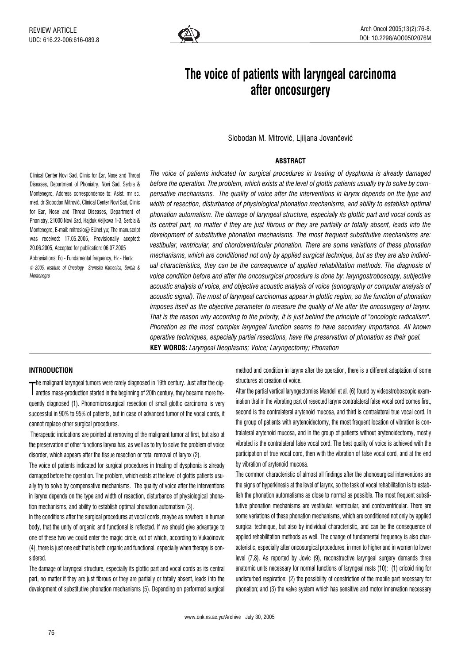

# The voice of patients with laryngeal carcinoma after oncosurgery

Slobodan M. Mitrović, Ljiljana Jovančević

## **ABSTRACT**

Clinical Center Novi Sad, Clinic for Ear, Nose and Throat Diseases, Department of Phoniatry, Novi Sad, Serbia & Montenegro, Address correspondence to: Asist. mr sc. med. dr Slobodan Mitrović, Clinical Center Novi Sad, Clinic for Ear, Nose and Throat Diseases, Department of Phoniatry, 21000 Novi Sad, Hajduk Veljkova 1-3, Serbia & Montenegro, E-mail: mitroslo@ EUnet.vu: The manuscript was received: 17.05.2005, Provisionally acepted: 20.06.2005, Accepted for publication: 06.07.2005 Abbreviations: Fo - Fundamental frequency, Hz - Hertz © 2005, Institute of Oncology Sremska Kamenica, Serbia & Montenegro

The voice of patients indicated for surgical procedures in treating of dysphonia is already damaged before the operation. The problem, which exists at the level of glottis patients usually try to solve by compensative mechanisms. The quality of voice after the interventions in larynx depends on the type and width of resection, disturbance of physiological phonation mechanisms, and ability to establish optimal phonation automatism. The damage of laryngeal structure, especially its glottic part and vocal cords as its central part, no matter if they are just fibrous or they are partially or totally absent, leads into the development of substitutive phonation mechanisms. The most frequent substitutive mechanisms are: vestibular, ventricular, and chordoventricular phonation. There are some variations of these phonation mechanisms, which are conditioned not only by applied surgical technique, but as they are also individual characteristics, they can be the consequence of applied rehabilitation methods. The diagnosis of voice condition before and after the oncosurgical procedure is done by: laryngostroboscopy, subjective acoustic analysis of voice, and objective acoustic analysis of voice (sonography or computer analysis of acoustic signal). The most of laryngeal carcinomas appear in glottic region, so the function of phonation imposes itself as the objective parameter to measure the quality of life after the oncosurgery of larynx. That is the reason why according to the priority, it is just behind the principle of "oncologic radicalism". Phonation as the most complex laryngeal function seems to have secondary importance. All known operative techniques, especially partial resections, have the preservation of phonation as their goal. KEY WORDS: Laryngeal Neoplasms; Voice; Laryngectomy; Phonation

## INTRODUCTION

The mass-production started in the beginning of 20th century, they became more fre-<br>arettes mass-production started in the beginning of 20th century, they became more fre- $\tau$ he malignant laryngeal tumors were rarely diagnosed in 19th century. Just after the cigquently diagnosed (1). Phonomicrosurgical resection of small glottic carcinoma is very successful in 90% to 95% of patients, but in case of advanced tumor of the vocal cords, it cannot replace other surgical procedures.

Therapeutic indications are pointed at removing of the malignant tumor at first, but also at the preservation of other functions larynx has, as well as to try to solve the problem of voice disorder, which appears after the tissue resection or total removal of larynx (2).

The voice of patients indicated for surgical procedures in treating of dysphonia is already damaged before the operation. The problem, which exists at the level of glottis patients usually try to solve by compensative mechanisms. The quality of voice after the interventions in larynx depends on the type and width of resection, disturbance of physiological phonation mechanisms, and ability to establish optimal phonation automatism (3).

In the conditions after the surgical procedures at vocal cords, maybe as nowhere in human body, that the unity of organic and functional is reflected. If we should give advantage to one of these two we could enter the magic circle, out of which, according to Vukaöinovic (4), there is just one exit that is both organic and functional, especially when therapy is considered.

The damage of laryngeal structure, especially its glottic part and vocal cords as its central part, no matter if they are just fibrous or they are partially or totally absent, leads into the development of substitutive phonation mechanisms (5). Depending on performed surgical method and condition in larynx after the operation, there is a different adaptation of some structures at creation of voice.

After the partial vertical laryngectomies Mandell et al. (6) found by videostroboscopic examination that in the vibrating part of resected larynx contralateral false vocal cord comes first, second is the contralateral arytenoid mucosa, and third is contralateral true vocal cord. In the group of patients with arytenoidectomy, the most frequent location of vibration is contralateral arytenoid mucosa, and in the group of patients without arytenoidectomy, mostly vibrated is the contralateral false vocal cord. The best quality of voice is achieved with the participation of true vocal cord, then with the vibration of false vocal cord, and at the end by vibration of arytenoid mucosa.

The common characteristic of almost all findings after the phonosurgical interventions are the signs of hyperkinesis at the level of larynx, so the task of vocal rehabilitation is to establish the phonation automatisms as close to normal as possible. The most frequent substitutive phonation mechanisms are vestibular, ventricular, and cordoventricular. There are some variations of these phonation mechanisms, which are conditioned not only by applied surgical technique, but also by individual characteristic, and can be the consequence of applied rehabilitation methods as well. The change of fundamental frequency is also characteristic, especially after oncosurgical procedures, in men to higher and in women to lower level (7,8). As reported by Jovic (9), reconstructive laryngeal surgery demands three anatomic units necessary for normal functions of laryngeal rests (10): (1) cricoid ring for undisturbed respiration; (2) the possibility of constriction of the mobile part necessary for phonation; and (3) the valve system which has sensitive and motor innervation necessary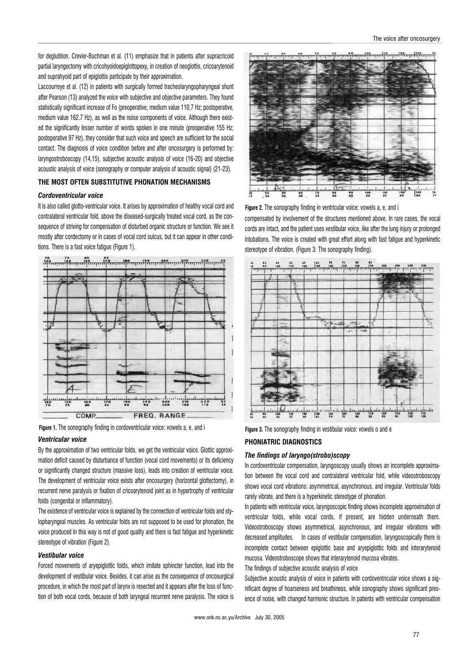for deglutition. Crevier-Buchman et al. (11) emphasize that in patients after supracricoid partial laryngectomy with cricohyoidoepiglottopexy, in creation of neoglottis, cricoarytenoid and suprahyoid part of epiglottis participate by their approximation.

Laccourreye et al. (12) in patients with surgically formed tracheolaryngopharyngeal shunt after Pearson (13) analyzed the voice with subjective and objective parameters. They found statistically significant increase of Fo (preoperative, medium value 110,7 Hz; postoperative, medium value 162.7 Hz), as well as the noise components of voice. Although there existed the significantly lesser number of words spoken in one minute (preoperative 155 Hz; postoperative 97 Hz), they consider that such voice and speech are sufficient for the social contact. The diagnosis of voice condition before and after oncosurgery is performed by: laryngostroboscopy (14,15), subjective acoustic analysis of voice (16-20) and objective acoustic analysis of voice (sonography or computer analysis of acoustic signal) (21-23).

## THE MOST OFTEN SUBSTITUTIVE PHONATION MECHANISMS

## Cordoventricular voice

It is also called glotto-ventricular voice. It arises by approximation of healthy vocal cord and contralateral ventricular fold, above the diseased-surgically treated vocal cord, as the consequence of striving for compensation of disturbed organic structure or function. We see it mostly after cordectomy or in cases of vocal cord sulcus, but it can appear in other conditions. There is a fast voice fatigue (Figure 1).



Figure 1. The sonography finding in cordoventricular voice: vowels a, e, and i<br>Figure 3. The sonography finding in cordoventricular voice: vowels a, e, and i

#### Ventricular voice

By the approximation of two ventricular folds, we get the ventricular voice. Glottic approximation deficit caused by disturbance of function (vocal cord movements) or its deficiency or significantly changed structure (massive loss), leads into creation of ventricular voice. The development of ventricular voice exists after oncosurgery (horizontal glottectomy), in recurrent nerve paralysis or fixation of cricoarytenoid joint as in hypertrophy of ventricular folds (congenital or inflammatory).

The existence of ventricular voice is explained by the connection of ventricular folds and stylopharyngeal muscles. As ventricular folds are not supposed to be used for phonation, the voice produced in this way is not of good quality and there is fast fatigue and hyperkinetic stereotype of vibration (Figure 2).

## Vestibular voice

Forced movements of aryepiglottic folds, which imitate sphincter function, lead into the development of vestibular voice. Besides, it can arise as the consequence of oncosurgical procedure, in which the most part of larynx is resected and it appears after the loss of function of both vocal cords, because of both laryngeal recurrent nerve paralysis. The voice is



Figure 2. The sonography finding in ventricular voice: vowels a, e, and i

compensated by involvement of the structures mentioned above. In rare cases, the vocal cords are intact, and the patient uses vestibular voice, like after the lung injury or prolonged intubations. The voice is created with great effort along with fast fatigue and hyperkinetic stereotype of vibration. (Figure 3: The sonography finding).



### PHONIATRIC DIAGNOSTICS

#### The findings of laryngo(strobo)scopy

In cordoventricular compensation, laryngoscopy usually shows an incomplete approximation between the vocal cord and contralateral ventricular fold, while videostroboscopy shows vocal cord vibrations: asymmetrical, asynchronous, and irregular. Ventricular folds rarely vibrate, and there is a hyperkinetic stereotype of phonation.

In patients with ventricular voice, laryngoscopic finding shows incomplete approximation of ventricular folds, while vocal cords, if present, are hidden underneath them. Videostroboscopy shows asymmetrical, asynchronous, and irregular vibrations with decreased amplitudes. In cases of vestibular compensation, laryngoscopically there is incomplete contact between epiglottic base and aryepiglottic folds and interarytenoid mucosa. Videostroboscope shows that interarytenoid mucosa vibrates.

The findings of subjective acoustic analysis of voice

Subjective acoustic analysis of voice in patients with cordoventricular voice shows a significant degree of hoarseness and breathiness, while sonography shows significant presence of noise, with changed harmonic structure. In patients with ventricular compensation